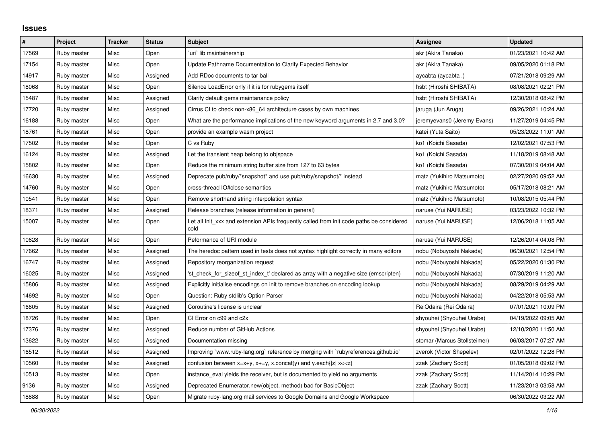## **Issues**

| $\vert$ # | Project     | <b>Tracker</b> | <b>Status</b> | <b>Subject</b>                                                                                   | Assignee                     | <b>Updated</b>      |
|-----------|-------------|----------------|---------------|--------------------------------------------------------------------------------------------------|------------------------------|---------------------|
| 17569     | Ruby master | Misc           | Open          | uri` lib maintainership                                                                          | akr (Akira Tanaka)           | 01/23/2021 10:42 AM |
| 17154     | Ruby master | <b>Misc</b>    | Open          | Update Pathname Documentation to Clarify Expected Behavior                                       | akr (Akira Tanaka)           | 09/05/2020 01:18 PM |
| 14917     | Ruby master | Misc           | Assigned      | Add RDoc documents to tar ball                                                                   | aycabta (aycabta .)          | 07/21/2018 09:29 AM |
| 18068     | Ruby master | Misc           | Open          | Silence LoadError only if it is for rubygems itself                                              | hsbt (Hiroshi SHIBATA)       | 08/08/2021 02:21 PM |
| 15487     | Ruby master | Misc           | Assigned      | Clarify default gems maintanance policy                                                          | hsbt (Hiroshi SHIBATA)       | 12/30/2018 08:42 PM |
| 17720     | Ruby master | Misc           | Assigned      | Cirrus CI to check non-x86_64 architecture cases by own machines                                 | jaruga (Jun Aruga)           | 09/26/2021 10:24 AM |
| 16188     | Ruby master | Misc           | Open          | What are the performance implications of the new keyword arguments in 2.7 and 3.0?               | jeremyevans0 (Jeremy Evans)  | 11/27/2019 04:45 PM |
| 18761     | Ruby master | Misc           | Open          | provide an example wasm project                                                                  | katei (Yuta Saito)           | 05/23/2022 11:01 AM |
| 17502     | Ruby master | Misc           | Open          | C vs Ruby                                                                                        | ko1 (Koichi Sasada)          | 12/02/2021 07:53 PM |
| 16124     | Ruby master | Misc           | Assigned      | Let the transient heap belong to objspace                                                        | ko1 (Koichi Sasada)          | 11/18/2019 08:48 AM |
| 15802     | Ruby master | Misc           | Open          | Reduce the minimum string buffer size from 127 to 63 bytes                                       | ko1 (Koichi Sasada)          | 07/30/2019 04:04 AM |
| 16630     | Ruby master | <b>Misc</b>    | Assigned      | Deprecate pub/ruby/*snapshot* and use pub/ruby/snapshot/* instead                                | matz (Yukihiro Matsumoto)    | 02/27/2020 09:52 AM |
| 14760     | Ruby master | Misc           | Open          | cross-thread IO#close semantics                                                                  | matz (Yukihiro Matsumoto)    | 05/17/2018 08:21 AM |
| 10541     | Ruby master | Misc           | Open          | Remove shorthand string interpolation syntax                                                     | matz (Yukihiro Matsumoto)    | 10/08/2015 05:44 PM |
| 18371     | Ruby master | Misc           | Assigned      | Release branches (release information in general)                                                | naruse (Yui NARUSE)          | 03/23/2022 10:32 PM |
| 15007     | Ruby master | Misc           | Open          | Let all Init_xxx and extension APIs frequently called from init code paths be considered<br>cold | naruse (Yui NARUSE)          | 12/06/2018 11:05 AM |
| 10628     | Ruby master | Misc           | Open          | Peformance of URI module                                                                         | naruse (Yui NARUSE)          | 12/26/2014 04:08 PM |
| 17662     | Ruby master | Misc           | Assigned      | The heredoc pattern used in tests does not syntax highlight correctly in many editors            | nobu (Nobuyoshi Nakada)      | 06/30/2021 12:54 PM |
| 16747     | Ruby master | Misc           | Assigned      | Repository reorganization request                                                                | nobu (Nobuyoshi Nakada)      | 05/22/2020 01:30 PM |
| 16025     | Ruby master | Misc           | Assigned      | 'st check for sizeof st index t' declared as array with a negative size (emscripten)             | nobu (Nobuyoshi Nakada)      | 07/30/2019 11:20 AM |
| 15806     | Ruby master | Misc           | Assigned      | Explicitly initialise encodings on init to remove branches on encoding lookup                    | nobu (Nobuyoshi Nakada)      | 08/29/2019 04:29 AM |
| 14692     | Ruby master | Misc           | Open          | Question: Ruby stdlib's Option Parser                                                            | nobu (Nobuyoshi Nakada)      | 04/22/2018 05:53 AM |
| 16805     | Ruby master | Misc           | Assigned      | Coroutine's license is unclear                                                                   | ReiOdaira (Rei Odaira)       | 07/01/2021 10:09 PM |
| 18726     | Ruby master | Misc           | Open          | CI Error on c99 and c2x                                                                          | shyouhei (Shyouhei Urabe)    | 04/19/2022 09:05 AM |
| 17376     | Ruby master | Misc           | Assigned      | Reduce number of GitHub Actions                                                                  | shyouhei (Shyouhei Urabe)    | 12/10/2020 11:50 AM |
| 13622     | Ruby master | Misc           | Assigned      | Documentation missing                                                                            | stomar (Marcus Stollsteimer) | 06/03/2017 07:27 AM |
| 16512     | Ruby master | Misc           | Assigned      | Improving `www.ruby-lang.org` reference by merging with `rubyreferences.github.io`               | zverok (Victor Shepelev)     | 02/01/2022 12:28 PM |
| 10560     | Ruby master | Misc           | Assigned      | confusion between $x=x+y$ , $x+=y$ , x.concat(y) and y.each{ z  $x<}$                            | zzak (Zachary Scott)         | 01/05/2018 09:02 PM |
| 10513     | Ruby master | Misc           | Open          | instance eval yields the receiver, but is documented to yield no arguments                       | zzak (Zachary Scott)         | 11/14/2014 10:29 PM |
| 9136      | Ruby master | Misc           | Assigned      | Deprecated Enumerator.new(object, method) bad for BasicObject                                    | zzak (Zachary Scott)         | 11/23/2013 03:58 AM |
| 18888     | Ruby master | Misc           | Open          | Migrate ruby-lang.org mail services to Google Domains and Google Workspace                       |                              | 06/30/2022 03:22 AM |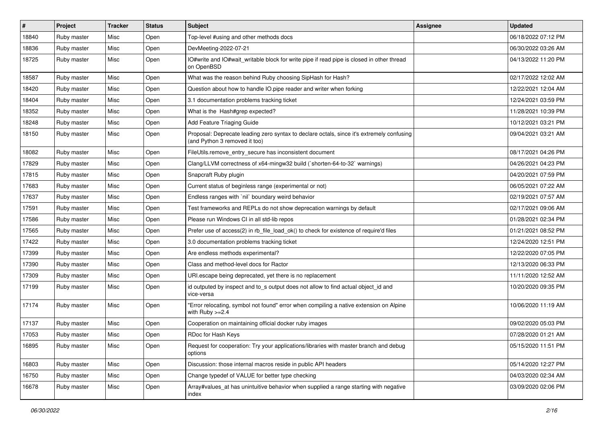| $\vert$ # | Project     | <b>Tracker</b> | <b>Status</b> | Subject                                                                                                                    | Assignee | <b>Updated</b>      |
|-----------|-------------|----------------|---------------|----------------------------------------------------------------------------------------------------------------------------|----------|---------------------|
| 18840     | Ruby master | Misc           | Open          | Top-level #using and other methods docs                                                                                    |          | 06/18/2022 07:12 PM |
| 18836     | Ruby master | Misc           | Open          | DevMeeting-2022-07-21                                                                                                      |          | 06/30/2022 03:26 AM |
| 18725     | Ruby master | Misc           | Open          | IO#write and IO#wait_writable block for write pipe if read pipe is closed in other thread<br>on OpenBSD                    |          | 04/13/2022 11:20 PM |
| 18587     | Ruby master | Misc           | Open          | What was the reason behind Ruby choosing SipHash for Hash?                                                                 |          | 02/17/2022 12:02 AM |
| 18420     | Ruby master | Misc           | Open          | Question about how to handle IO.pipe reader and writer when forking                                                        |          | 12/22/2021 12:04 AM |
| 18404     | Ruby master | Misc           | Open          | 3.1 documentation problems tracking ticket                                                                                 |          | 12/24/2021 03:59 PM |
| 18352     | Ruby master | Misc           | Open          | What is the Hash#grep expected?                                                                                            |          | 11/28/2021 10:39 PM |
| 18248     | Ruby master | Misc           | Open          | Add Feature Triaging Guide                                                                                                 |          | 10/12/2021 03:21 PM |
| 18150     | Ruby master | Misc           | Open          | Proposal: Deprecate leading zero syntax to declare octals, since it's extremely confusing<br>(and Python 3 removed it too) |          | 09/04/2021 03:21 AM |
| 18082     | Ruby master | Misc           | Open          | FileUtils.remove_entry_secure has inconsistent document                                                                    |          | 08/17/2021 04:26 PM |
| 17829     | Ruby master | Misc           | Open          | Clang/LLVM correctness of x64-mingw32 build (`shorten-64-to-32` warnings)                                                  |          | 04/26/2021 04:23 PM |
| 17815     | Ruby master | Misc           | Open          | Snapcraft Ruby plugin                                                                                                      |          | 04/20/2021 07:59 PM |
| 17683     | Ruby master | Misc           | Open          | Current status of beginless range (experimental or not)                                                                    |          | 06/05/2021 07:22 AM |
| 17637     | Ruby master | Misc           | Open          | Endless ranges with `nil` boundary weird behavior                                                                          |          | 02/19/2021 07:57 AM |
| 17591     | Ruby master | Misc           | Open          | Test frameworks and REPLs do not show deprecation warnings by default                                                      |          | 02/17/2021 09:06 AM |
| 17586     | Ruby master | Misc           | Open          | Please run Windows CI in all std-lib repos                                                                                 |          | 01/28/2021 02:34 PM |
| 17565     | Ruby master | Misc           | Open          | Prefer use of access(2) in rb_file_load_ok() to check for existence of require'd files                                     |          | 01/21/2021 08:52 PM |
| 17422     | Ruby master | Misc           | Open          | 3.0 documentation problems tracking ticket                                                                                 |          | 12/24/2020 12:51 PM |
| 17399     | Ruby master | Misc           | Open          | Are endless methods experimental?                                                                                          |          | 12/22/2020 07:05 PM |
| 17390     | Ruby master | Misc           | Open          | Class and method-level docs for Ractor                                                                                     |          | 12/13/2020 06:33 PM |
| 17309     | Ruby master | Misc           | Open          | URI escape being deprecated, yet there is no replacement                                                                   |          | 11/11/2020 12:52 AM |
| 17199     | Ruby master | Misc           | Open          | id outputed by inspect and to_s output does not allow to find actual object_id and<br>vice-versa                           |          | 10/20/2020 09:35 PM |
| 17174     | Ruby master | Misc           | Open          | "Error relocating, symbol not found" error when compiling a native extension on Alpine<br>with Ruby $>=2.4$                |          | 10/06/2020 11:19 AM |
| 17137     | Ruby master | Misc           | Open          | Cooperation on maintaining official docker ruby images                                                                     |          | 09/02/2020 05:03 PM |
| 17053     | Ruby master | Misc           | Open          | RDoc for Hash Keys                                                                                                         |          | 07/28/2020 01:21 AM |
| 16895     | Ruby master | Misc           | Open          | Request for cooperation: Try your applications/libraries with master branch and debug<br>options                           |          | 05/15/2020 11:51 PM |
| 16803     | Ruby master | Misc           | Open          | Discussion: those internal macros reside in public API headers                                                             |          | 05/14/2020 12:27 PM |
| 16750     | Ruby master | Misc           | Open          | Change typedef of VALUE for better type checking                                                                           |          | 04/03/2020 02:34 AM |
| 16678     | Ruby master | Misc           | Open          | Array#values_at has unintuitive behavior when supplied a range starting with negative<br>index                             |          | 03/09/2020 02:06 PM |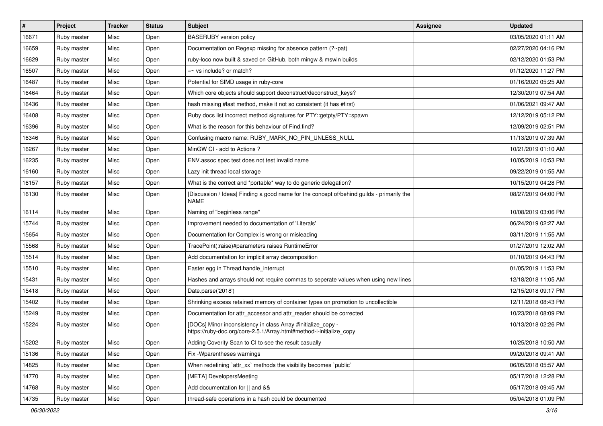| #     | Project     | <b>Tracker</b> | <b>Status</b> | <b>Subject</b>                                                                                                                      | <b>Assignee</b> | <b>Updated</b>      |
|-------|-------------|----------------|---------------|-------------------------------------------------------------------------------------------------------------------------------------|-----------------|---------------------|
| 16671 | Ruby master | Misc           | Open          | <b>BASERUBY</b> version policy                                                                                                      |                 | 03/05/2020 01:11 AM |
| 16659 | Ruby master | Misc           | Open          | Documentation on Regexp missing for absence pattern (?~pat)                                                                         |                 | 02/27/2020 04:16 PM |
| 16629 | Ruby master | Misc           | Open          | ruby-loco now built & saved on GitHub, both mingw & mswin builds                                                                    |                 | 02/12/2020 01:53 PM |
| 16507 | Ruby master | Misc           | Open          | $=$ vs include? or match?                                                                                                           |                 | 01/12/2020 11:27 PM |
| 16487 | Ruby master | Misc           | Open          | Potential for SIMD usage in ruby-core                                                                                               |                 | 01/16/2020 05:25 AM |
| 16464 | Ruby master | Misc           | Open          | Which core objects should support deconstruct/deconstruct_keys?                                                                     |                 | 12/30/2019 07:54 AM |
| 16436 | Ruby master | Misc           | Open          | hash missing #last method, make it not so consistent (it has #first)                                                                |                 | 01/06/2021 09:47 AM |
| 16408 | Ruby master | Misc           | Open          | Ruby docs list incorrect method signatures for PTY::getpty/PTY::spawn                                                               |                 | 12/12/2019 05:12 PM |
| 16396 | Ruby master | Misc           | Open          | What is the reason for this behaviour of Find.find?                                                                                 |                 | 12/09/2019 02:51 PM |
| 16346 | Ruby master | Misc           | Open          | Confusing macro name: RUBY_MARK_NO_PIN_UNLESS_NULL                                                                                  |                 | 11/13/2019 07:39 AM |
| 16267 | Ruby master | Misc           | Open          | MinGW CI - add to Actions?                                                                                                          |                 | 10/21/2019 01:10 AM |
| 16235 | Ruby master | Misc           | Open          | ENV assoc spec test does not test invalid name                                                                                      |                 | 10/05/2019 10:53 PM |
| 16160 | Ruby master | Misc           | Open          | Lazy init thread local storage                                                                                                      |                 | 09/22/2019 01:55 AM |
| 16157 | Ruby master | Misc           | Open          | What is the correct and *portable* way to do generic delegation?                                                                    |                 | 10/15/2019 04:28 PM |
| 16130 | Ruby master | Misc           | Open          | [Discussion / Ideas] Finding a good name for the concept of/behind guilds - primarily the<br><b>NAME</b>                            |                 | 08/27/2019 04:00 PM |
| 16114 | Ruby master | Misc           | Open          | Naming of "beginless range"                                                                                                         |                 | 10/08/2019 03:06 PM |
| 15744 | Ruby master | Misc           | Open          | Improvement needed to documentation of 'Literals'                                                                                   |                 | 06/24/2019 02:27 AM |
| 15654 | Ruby master | Misc           | Open          | Documentation for Complex is wrong or misleading                                                                                    |                 | 03/11/2019 11:55 AM |
| 15568 | Ruby master | Misc           | Open          | TracePoint(:raise)#parameters raises RuntimeError                                                                                   |                 | 01/27/2019 12:02 AM |
| 15514 | Ruby master | Misc           | Open          | Add documentation for implicit array decomposition                                                                                  |                 | 01/10/2019 04:43 PM |
| 15510 | Ruby master | Misc           | Open          | Easter egg in Thread.handle_interrupt                                                                                               |                 | 01/05/2019 11:53 PM |
| 15431 | Ruby master | Misc           | Open          | Hashes and arrays should not require commas to seperate values when using new lines                                                 |                 | 12/18/2018 11:05 AM |
| 15418 | Ruby master | Misc           | Open          | Date.parse('2018')                                                                                                                  |                 | 12/15/2018 09:17 PM |
| 15402 | Ruby master | Misc           | Open          | Shrinking excess retained memory of container types on promotion to uncollectible                                                   |                 | 12/11/2018 08:43 PM |
| 15249 | Ruby master | Misc           | Open          | Documentation for attr_accessor and attr_reader should be corrected                                                                 |                 | 10/23/2018 08:09 PM |
| 15224 | Ruby master | Misc           | Open          | [DOCs] Minor inconsistency in class Array #initialize_copy -<br>https://ruby-doc.org/core-2.5.1/Array.html#method-i-initialize_copy |                 | 10/13/2018 02:26 PM |
| 15202 | Ruby master | Misc           | Open          | Adding Coverity Scan to CI to see the result casually                                                                               |                 | 10/25/2018 10:50 AM |
| 15136 | Ruby master | Misc           | Open          | Fix - Wparentheses warnings                                                                                                         |                 | 09/20/2018 09:41 AM |
| 14825 | Ruby master | Misc           | Open          | When redefining 'attr_xx' methods the visibility becomes 'public'                                                                   |                 | 06/05/2018 05:57 AM |
| 14770 | Ruby master | Misc           | Open          | [META] DevelopersMeeting                                                                                                            |                 | 05/17/2018 12:28 PM |
| 14768 | Ruby master | Misc           | Open          | Add documentation for    and &&                                                                                                     |                 | 05/17/2018 09:45 AM |
| 14735 | Ruby master | Misc           | Open          | thread-safe operations in a hash could be documented                                                                                |                 | 05/04/2018 01:09 PM |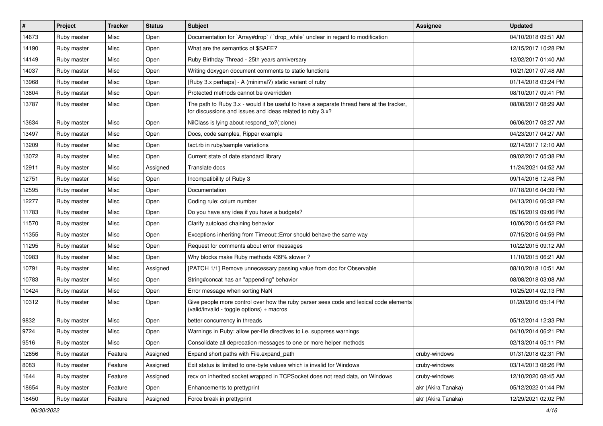| $\vert$ # | Project     | <b>Tracker</b> | <b>Status</b> | <b>Subject</b>                                                                                                                                        | Assignee           | <b>Updated</b>      |
|-----------|-------------|----------------|---------------|-------------------------------------------------------------------------------------------------------------------------------------------------------|--------------------|---------------------|
| 14673     | Ruby master | Misc           | Open          | Documentation for `Array#drop` / `drop` while` unclear in regard to modification                                                                      |                    | 04/10/2018 09:51 AM |
| 14190     | Ruby master | Misc           | Open          | What are the semantics of \$SAFE?                                                                                                                     |                    | 12/15/2017 10:28 PM |
| 14149     | Ruby master | Misc           | Open          | Ruby Birthday Thread - 25th years anniversary                                                                                                         |                    | 12/02/2017 01:40 AM |
| 14037     | Ruby master | Misc           | Open          | Writing doxygen document comments to static functions                                                                                                 |                    | 10/21/2017 07:48 AM |
| 13968     | Ruby master | Misc           | Open          | [Ruby 3.x perhaps] - A (minimal?) static variant of ruby                                                                                              |                    | 01/14/2018 03:24 PM |
| 13804     | Ruby master | Misc           | Open          | Protected methods cannot be overridden                                                                                                                |                    | 08/10/2017 09:41 PM |
| 13787     | Ruby master | Misc           | Open          | The path to Ruby 3.x - would it be useful to have a separate thread here at the tracker,<br>for discussions and issues and ideas related to ruby 3.x? |                    | 08/08/2017 08:29 AM |
| 13634     | Ruby master | Misc           | Open          | NilClass is lying about respond_to?(:clone)                                                                                                           |                    | 06/06/2017 08:27 AM |
| 13497     | Ruby master | Misc           | Open          | Docs, code samples, Ripper example                                                                                                                    |                    | 04/23/2017 04:27 AM |
| 13209     | Ruby master | Misc           | Open          | fact.rb in ruby/sample variations                                                                                                                     |                    | 02/14/2017 12:10 AM |
| 13072     | Ruby master | Misc           | Open          | Current state of date standard library                                                                                                                |                    | 09/02/2017 05:38 PM |
| 12911     | Ruby master | Misc           | Assigned      | Translate docs                                                                                                                                        |                    | 11/24/2021 04:52 AM |
| 12751     | Ruby master | Misc           | Open          | Incompatibility of Ruby 3                                                                                                                             |                    | 09/14/2016 12:48 PM |
| 12595     | Ruby master | Misc           | Open          | Documentation                                                                                                                                         |                    | 07/18/2016 04:39 PM |
| 12277     | Ruby master | Misc           | Open          | Coding rule: colum number                                                                                                                             |                    | 04/13/2016 06:32 PM |
| 11783     | Ruby master | Misc           | Open          | Do you have any idea if you have a budgets?                                                                                                           |                    | 05/16/2019 09:06 PM |
| 11570     | Ruby master | Misc           | Open          | Clarify autoload chaining behavior                                                                                                                    |                    | 10/06/2015 04:52 PM |
| 11355     | Ruby master | Misc           | Open          | Exceptions inheriting from Timeout:: Error should behave the same way                                                                                 |                    | 07/15/2015 04:59 PM |
| 11295     | Ruby master | Misc           | Open          | Request for comments about error messages                                                                                                             |                    | 10/22/2015 09:12 AM |
| 10983     | Ruby master | Misc           | Open          | Why blocks make Ruby methods 439% slower?                                                                                                             |                    | 11/10/2015 06:21 AM |
| 10791     | Ruby master | Misc           | Assigned      | [PATCH 1/1] Remove unnecessary passing value from doc for Observable                                                                                  |                    | 08/10/2018 10:51 AM |
| 10783     | Ruby master | Misc           | Open          | String#concat has an "appending" behavior                                                                                                             |                    | 08/08/2018 03:08 AM |
| 10424     | Ruby master | Misc           | Open          | Error message when sorting NaN                                                                                                                        |                    | 10/25/2014 02:13 PM |
| 10312     | Ruby master | Misc           | Open          | Give people more control over how the ruby parser sees code and lexical code elements<br>(valid/invalid - toggle options) + macros                    |                    | 01/20/2016 05:14 PM |
| 9832      | Ruby master | Misc           | Open          | better concurrency in threads                                                                                                                         |                    | 05/12/2014 12:33 PM |
| 9724      | Ruby master | Misc           | Open          | Warnings in Ruby: allow per-file directives to i.e. suppress warnings                                                                                 |                    | 04/10/2014 06:21 PM |
| 9516      | Ruby master | Misc           | Open          | Consolidate all deprecation messages to one or more helper methods                                                                                    |                    | 02/13/2014 05:11 PM |
| 12656     | Ruby master | Feature        | Assigned      | Expand short paths with File.expand_path                                                                                                              | cruby-windows      | 01/31/2018 02:31 PM |
| 8083      | Ruby master | Feature        | Assigned      | Exit status is limited to one-byte values which is invalid for Windows                                                                                | cruby-windows      | 03/14/2013 08:26 PM |
| 1644      | Ruby master | Feature        | Assigned      | recv on inherited socket wrapped in TCPSocket does not read data, on Windows                                                                          | cruby-windows      | 12/10/2020 08:45 AM |
| 18654     | Ruby master | Feature        | Open          | Enhancements to prettyprint                                                                                                                           | akr (Akira Tanaka) | 05/12/2022 01:44 PM |
| 18450     | Ruby master | Feature        | Assigned      | Force break in prettyprint                                                                                                                            | akr (Akira Tanaka) | 12/29/2021 02:02 PM |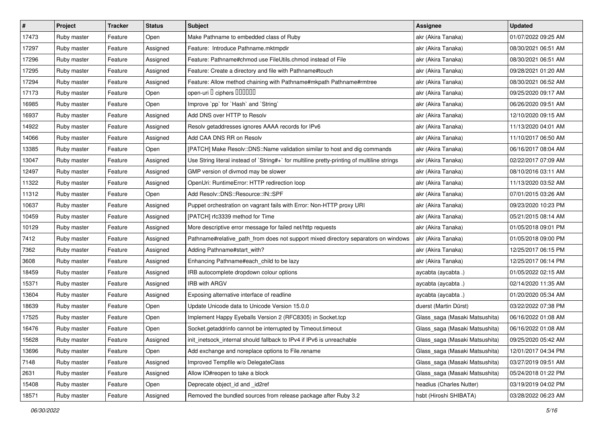| $\pmb{\#}$ | Project     | <b>Tracker</b> | <b>Status</b> | <b>Subject</b>                                                                              | <b>Assignee</b>                | <b>Updated</b>      |
|------------|-------------|----------------|---------------|---------------------------------------------------------------------------------------------|--------------------------------|---------------------|
| 17473      | Ruby master | Feature        | Open          | Make Pathname to embedded class of Ruby                                                     | akr (Akira Tanaka)             | 01/07/2022 09:25 AM |
| 17297      | Ruby master | Feature        | Assigned      | Feature: Introduce Pathname.mktmpdir                                                        | akr (Akira Tanaka)             | 08/30/2021 06:51 AM |
| 17296      | Ruby master | Feature        | Assigned      | Feature: Pathname#chmod use FileUtils.chmod instead of File                                 | akr (Akira Tanaka)             | 08/30/2021 06:51 AM |
| 17295      | Ruby master | Feature        | Assigned      | Feature: Create a directory and file with Pathname#touch                                    | akr (Akira Tanaka)             | 09/28/2021 01:20 AM |
| 17294      | Ruby master | Feature        | Assigned      | Feature: Allow method chaining with Pathname#mkpath Pathname#rmtree                         | akr (Akira Tanaka)             | 08/30/2021 06:52 AM |
| 17173      | Ruby master | Feature        | Open          | open-uri I ciphers IIIIIII                                                                  | akr (Akira Tanaka)             | 09/25/2020 09:17 AM |
| 16985      | Ruby master | Feature        | Open          | Improve `pp` for `Hash` and `String`                                                        | akr (Akira Tanaka)             | 06/26/2020 09:51 AM |
| 16937      | Ruby master | Feature        | Assigned      | Add DNS over HTTP to Resolv                                                                 | akr (Akira Tanaka)             | 12/10/2020 09:15 AM |
| 14922      | Ruby master | Feature        | Assigned      | Resolv getaddresses ignores AAAA records for IPv6                                           | akr (Akira Tanaka)             | 11/13/2020 04:01 AM |
| 14066      | Ruby master | Feature        | Assigned      | Add CAA DNS RR on Resolv                                                                    | akr (Akira Tanaka)             | 11/10/2017 06:50 AM |
| 13385      | Ruby master | Feature        | Open          | [PATCH] Make Resolv::DNS::Name validation similar to host and dig commands                  | akr (Akira Tanaka)             | 06/16/2017 08:04 AM |
| 13047      | Ruby master | Feature        | Assigned      | Use String literal instead of `String#+` for multiline pretty-printing of multiline strings | akr (Akira Tanaka)             | 02/22/2017 07:09 AM |
| 12497      | Ruby master | Feature        | Assigned      | GMP version of divmod may be slower                                                         | akr (Akira Tanaka)             | 08/10/2016 03:11 AM |
| 11322      | Ruby master | Feature        | Assigned      | OpenUri: RuntimeError: HTTP redirection loop                                                | akr (Akira Tanaka)             | 11/13/2020 03:52 AM |
| 11312      | Ruby master | Feature        | Open          | Add Resolv::DNS::Resource::IN::SPF                                                          | akr (Akira Tanaka)             | 07/01/2015 03:26 AM |
| 10637      | Ruby master | Feature        | Assigned      | Puppet orchestration on vagrant fails with Error: Non-HTTP proxy URI                        | akr (Akira Tanaka)             | 09/23/2020 10:23 PM |
| 10459      | Ruby master | Feature        | Assigned      | [PATCH] rfc3339 method for Time                                                             | akr (Akira Tanaka)             | 05/21/2015 08:14 AM |
| 10129      | Ruby master | Feature        | Assigned      | More descriptive error message for failed net/http requests                                 | akr (Akira Tanaka)             | 01/05/2018 09:01 PM |
| 7412       | Ruby master | Feature        | Assigned      | Pathname#relative_path_from does not support mixed directory separators on windows          | akr (Akira Tanaka)             | 01/05/2018 09:00 PM |
| 7362       | Ruby master | Feature        | Assigned      | Adding Pathname#start_with?                                                                 | akr (Akira Tanaka)             | 12/25/2017 06:15 PM |
| 3608       | Ruby master | Feature        | Assigned      | Enhancing Pathname#each_child to be lazy                                                    | akr (Akira Tanaka)             | 12/25/2017 06:14 PM |
| 18459      | Ruby master | Feature        | Assigned      | IRB autocomplete dropdown colour options                                                    | aycabta (aycabta.)             | 01/05/2022 02:15 AM |
| 15371      | Ruby master | Feature        | Assigned      | <b>IRB with ARGV</b>                                                                        | aycabta (aycabta .)            | 02/14/2020 11:35 AM |
| 13604      | Ruby master | Feature        | Assigned      | Exposing alternative interface of readline                                                  | aycabta (aycabta .)            | 01/20/2020 05:34 AM |
| 18639      | Ruby master | Feature        | Open          | Update Unicode data to Unicode Version 15.0.0                                               | duerst (Martin Dürst)          | 03/22/2022 07:38 PM |
| 17525      | Ruby master | Feature        | Open          | Implement Happy Eyeballs Version 2 (RFC8305) in Socket.tcp                                  | Glass_saga (Masaki Matsushita) | 06/16/2022 01:08 AM |
| 16476      | Ruby master | Feature        | Open          | Socket.getaddrinfo cannot be interrupted by Timeout.timeout                                 | Glass_saga (Masaki Matsushita) | 06/16/2022 01:08 AM |
| 15628      | Ruby master | Feature        | Assigned      | init_inetsock_internal should fallback to IPv4 if IPv6 is unreachable                       | Glass_saga (Masaki Matsushita) | 09/25/2020 05:42 AM |
| 13696      | Ruby master | Feature        | Open          | Add exchange and noreplace options to File.rename                                           | Glass saga (Masaki Matsushita) | 12/01/2017 04:34 PM |
| 7148       | Ruby master | Feature        | Assigned      | Improved Tempfile w/o DelegateClass                                                         | Glass_saga (Masaki Matsushita) | 03/27/2019 09:51 AM |
| 2631       | Ruby master | Feature        | Assigned      | Allow IO#reopen to take a block                                                             | Glass_saga (Masaki Matsushita) | 05/24/2018 01:22 PM |
| 15408      | Ruby master | Feature        | Open          | Deprecate object_id and _id2ref                                                             | headius (Charles Nutter)       | 03/19/2019 04:02 PM |
| 18571      | Ruby master | Feature        | Assigned      | Removed the bundled sources from release package after Ruby 3.2                             | hsbt (Hiroshi SHIBATA)         | 03/28/2022 06:23 AM |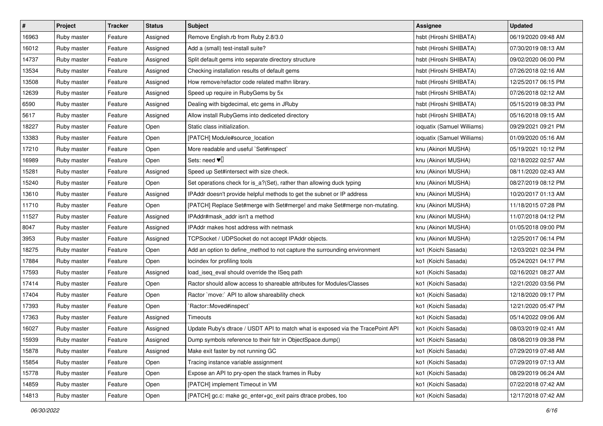| $\vert$ # | Project     | <b>Tracker</b> | <b>Status</b> | <b>Subject</b>                                                                  | <b>Assignee</b>            | <b>Updated</b>      |
|-----------|-------------|----------------|---------------|---------------------------------------------------------------------------------|----------------------------|---------------------|
| 16963     | Ruby master | Feature        | Assigned      | Remove English.rb from Ruby 2.8/3.0                                             | hsbt (Hiroshi SHIBATA)     | 06/19/2020 09:48 AM |
| 16012     | Ruby master | Feature        | Assigned      | Add a (small) test-install suite?                                               | hsbt (Hiroshi SHIBATA)     | 07/30/2019 08:13 AM |
| 14737     | Ruby master | Feature        | Assigned      | Split default gems into separate directory structure                            | hsbt (Hiroshi SHIBATA)     | 09/02/2020 06:00 PM |
| 13534     | Ruby master | Feature        | Assigned      | Checking installation results of default gems                                   | hsbt (Hiroshi SHIBATA)     | 07/26/2018 02:16 AM |
| 13508     | Ruby master | Feature        | Assigned      | How remove/refactor code related mathn library.                                 | hsbt (Hiroshi SHIBATA)     | 12/25/2017 06:15 PM |
| 12639     | Ruby master | Feature        | Assigned      | Speed up require in RubyGems by 5x                                              | hsbt (Hiroshi SHIBATA)     | 07/26/2018 02:12 AM |
| 6590      | Ruby master | Feature        | Assigned      | Dealing with bigdecimal, etc gems in JRuby                                      | hsbt (Hiroshi SHIBATA)     | 05/15/2019 08:33 PM |
| 5617      | Ruby master | Feature        | Assigned      | Allow install RubyGems into dediceted directory                                 | hsbt (Hiroshi SHIBATA)     | 05/16/2018 09:15 AM |
| 18227     | Ruby master | Feature        | Open          | Static class initialization.                                                    | ioquatix (Samuel Williams) | 09/29/2021 09:21 PM |
| 13383     | Ruby master | Feature        | Open          | [PATCH] Module#source_location                                                  | ioquatix (Samuel Williams) | 01/09/2020 05:16 AM |
| 17210     | Ruby master | Feature        | Open          | More readable and useful `Set#inspect`                                          | knu (Akinori MUSHA)        | 05/19/2021 10:12 PM |
| 16989     | Ruby master | Feature        | Open          | Sets: need $\Psi$                                                               | knu (Akinori MUSHA)        | 02/18/2022 02:57 AM |
| 15281     | Ruby master | Feature        | Assigned      | Speed up Set#intersect with size check.                                         | knu (Akinori MUSHA)        | 08/11/2020 02:43 AM |
| 15240     | Ruby master | Feature        | Open          | Set operations check for is_a?(Set), rather than allowing duck typing           | knu (Akinori MUSHA)        | 08/27/2019 08:12 PM |
| 13610     | Ruby master | Feature        | Assigned      | IPAddr doesn't provide helpful methods to get the subnet or IP address          | knu (Akinori MUSHA)        | 10/20/2017 01:13 AM |
| 11710     | Ruby master | Feature        | Open          | [PATCH] Replace Set#merge with Set#merge! and make Set#merge non-mutating.      | knu (Akinori MUSHA)        | 11/18/2015 07:28 PM |
| 11527     | Ruby master | Feature        | Assigned      | IPAddr#mask_addr isn't a method                                                 | knu (Akinori MUSHA)        | 11/07/2018 04:12 PM |
| 8047      | Ruby master | Feature        | Assigned      | IPAddr makes host address with netmask                                          | knu (Akinori MUSHA)        | 01/05/2018 09:00 PM |
| 3953      | Ruby master | Feature        | Assigned      | TCPSocket / UDPSocket do not accept IPAddr objects.                             | knu (Akinori MUSHA)        | 12/25/2017 06:14 PM |
| 18275     | Ruby master | Feature        | Open          | Add an option to define_method to not capture the surrounding environment       | ko1 (Koichi Sasada)        | 12/03/2021 02:34 PM |
| 17884     | Ruby master | Feature        | Open          | locindex for profiling tools                                                    | ko1 (Koichi Sasada)        | 05/24/2021 04:17 PM |
| 17593     | Ruby master | Feature        | Assigned      | load_iseq_eval should override the ISeq path                                    | ko1 (Koichi Sasada)        | 02/16/2021 08:27 AM |
| 17414     | Ruby master | Feature        | Open          | Ractor should allow access to shareable attributes for Modules/Classes          | ko1 (Koichi Sasada)        | 12/21/2020 03:56 PM |
| 17404     | Ruby master | Feature        | Open          | Ractor `move:` API to allow shareability check                                  | ko1 (Koichi Sasada)        | 12/18/2020 09:17 PM |
| 17393     | Ruby master | Feature        | Open          | `Ractor::Moved#inspect`                                                         | ko1 (Koichi Sasada)        | 12/21/2020 05:47 PM |
| 17363     | Ruby master | Feature        | Assigned      | Timeouts                                                                        | ko1 (Koichi Sasada)        | 05/14/2022 09:06 AM |
| 16027     | Ruby master | Feature        | Assigned      | Update Ruby's dtrace / USDT API to match what is exposed via the TracePoint API | ko1 (Koichi Sasada)        | 08/03/2019 02:41 AM |
| 15939     | Ruby master | Feature        | Assigned      | Dump symbols reference to their fstr in ObjectSpace.dump()                      | ko1 (Koichi Sasada)        | 08/08/2019 09:38 PM |
| 15878     | Ruby master | Feature        | Assigned      | Make exit faster by not running GC                                              | ko1 (Koichi Sasada)        | 07/29/2019 07:48 AM |
| 15854     | Ruby master | Feature        | Open          | Tracing instance variable assignment                                            | ko1 (Koichi Sasada)        | 07/29/2019 07:13 AM |
| 15778     | Ruby master | Feature        | Open          | Expose an API to pry-open the stack frames in Ruby                              | ko1 (Koichi Sasada)        | 08/29/2019 06:24 AM |
| 14859     | Ruby master | Feature        | Open          | [PATCH] implement Timeout in VM                                                 | ko1 (Koichi Sasada)        | 07/22/2018 07:42 AM |
| 14813     | Ruby master | Feature        | Open          | [PATCH] gc.c: make gc_enter+gc_exit pairs dtrace probes, too                    | ko1 (Koichi Sasada)        | 12/17/2018 07:42 AM |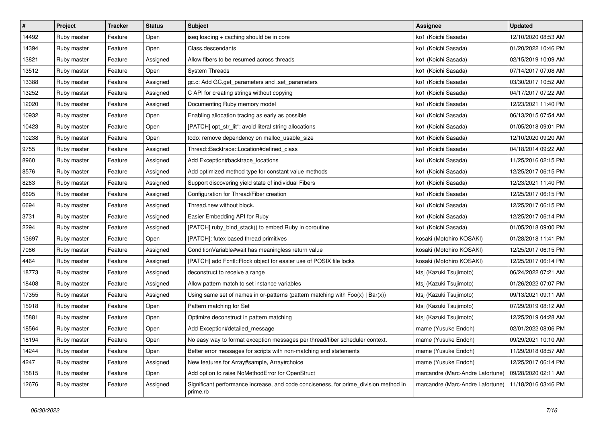| $\pmb{\#}$ | Project     | <b>Tracker</b> | <b>Status</b> | <b>Subject</b>                                                                                   | <b>Assignee</b>                  | <b>Updated</b>      |
|------------|-------------|----------------|---------------|--------------------------------------------------------------------------------------------------|----------------------------------|---------------------|
| 14492      | Ruby master | Feature        | Open          | iseq loading + caching should be in core                                                         | ko1 (Koichi Sasada)              | 12/10/2020 08:53 AM |
| 14394      | Ruby master | Feature        | Open          | Class.descendants                                                                                | ko1 (Koichi Sasada)              | 01/20/2022 10:46 PM |
| 13821      | Ruby master | Feature        | Assigned      | Allow fibers to be resumed across threads                                                        | ko1 (Koichi Sasada)              | 02/15/2019 10:09 AM |
| 13512      | Ruby master | Feature        | Open          | <b>System Threads</b>                                                                            | ko1 (Koichi Sasada)              | 07/14/2017 07:08 AM |
| 13388      | Ruby master | Feature        | Assigned      | gc.c: Add GC.get_parameters and .set_parameters                                                  | ko1 (Koichi Sasada)              | 03/30/2017 10:52 AM |
| 13252      | Ruby master | Feature        | Assigned      | C API for creating strings without copying                                                       | ko1 (Koichi Sasada)              | 04/17/2017 07:22 AM |
| 12020      | Ruby master | Feature        | Assigned      | Documenting Ruby memory model                                                                    | ko1 (Koichi Sasada)              | 12/23/2021 11:40 PM |
| 10932      | Ruby master | Feature        | Open          | Enabling allocation tracing as early as possible                                                 | ko1 (Koichi Sasada)              | 06/13/2015 07:54 AM |
| 10423      | Ruby master | Feature        | Open          | [PATCH] opt_str_lit*: avoid literal string allocations                                           | ko1 (Koichi Sasada)              | 01/05/2018 09:01 PM |
| 10238      | Ruby master | Feature        | Open          | todo: remove dependency on malloc_usable_size                                                    | ko1 (Koichi Sasada)              | 12/10/2020 09:20 AM |
| 9755       | Ruby master | Feature        | Assigned      | Thread::Backtrace::Location#defined class                                                        | ko1 (Koichi Sasada)              | 04/18/2014 09:22 AM |
| 8960       | Ruby master | Feature        | Assigned      | Add Exception#backtrace_locations                                                                | ko1 (Koichi Sasada)              | 11/25/2016 02:15 PM |
| 8576       | Ruby master | Feature        | Assigned      | Add optimized method type for constant value methods                                             | ko1 (Koichi Sasada)              | 12/25/2017 06:15 PM |
| 8263       | Ruby master | Feature        | Assigned      | Support discovering yield state of individual Fibers                                             | ko1 (Koichi Sasada)              | 12/23/2021 11:40 PM |
| 6695       | Ruby master | Feature        | Assigned      | Configuration for Thread/Fiber creation                                                          | ko1 (Koichi Sasada)              | 12/25/2017 06:15 PM |
| 6694       | Ruby master | Feature        | Assigned      | Thread.new without block.                                                                        | ko1 (Koichi Sasada)              | 12/25/2017 06:15 PM |
| 3731       | Ruby master | Feature        | Assigned      | Easier Embedding API for Ruby                                                                    | ko1 (Koichi Sasada)              | 12/25/2017 06:14 PM |
| 2294       | Ruby master | Feature        | Assigned      | [PATCH] ruby_bind_stack() to embed Ruby in coroutine                                             | ko1 (Koichi Sasada)              | 01/05/2018 09:00 PM |
| 13697      | Ruby master | Feature        | Open          | [PATCH]: futex based thread primitives                                                           | kosaki (Motohiro KOSAKI)         | 01/28/2018 11:41 PM |
| 7086       | Ruby master | Feature        | Assigned      | Condition Variable#wait has meaningless return value                                             | kosaki (Motohiro KOSAKI)         | 12/25/2017 06:15 PM |
| 4464       | Ruby master | Feature        | Assigned      | [PATCH] add Fcntl::Flock object for easier use of POSIX file locks                               | kosaki (Motohiro KOSAKI)         | 12/25/2017 06:14 PM |
| 18773      | Ruby master | Feature        | Assigned      | deconstruct to receive a range                                                                   | ktsj (Kazuki Tsujimoto)          | 06/24/2022 07:21 AM |
| 18408      | Ruby master | Feature        | Assigned      | Allow pattern match to set instance variables                                                    | ktsj (Kazuki Tsujimoto)          | 01/26/2022 07:07 PM |
| 17355      | Ruby master | Feature        | Assigned      | Using same set of names in or-patterns (pattern matching with $Foo(x)   Bar(x)$ )                | ktsj (Kazuki Tsujimoto)          | 09/13/2021 09:11 AM |
| 15918      | Ruby master | Feature        | Open          | Pattern matching for Set                                                                         | ktsj (Kazuki Tsujimoto)          | 07/29/2019 08:12 AM |
| 15881      | Ruby master | Feature        | Open          | Optimize deconstruct in pattern matching                                                         | ktsj (Kazuki Tsujimoto)          | 12/25/2019 04:28 AM |
| 18564      | Ruby master | Feature        | Open          | Add Exception#detailed_message                                                                   | mame (Yusuke Endoh)              | 02/01/2022 08:06 PM |
| 18194      | Ruby master | Feature        | Open          | No easy way to format exception messages per thread/fiber scheduler context.                     | mame (Yusuke Endoh)              | 09/29/2021 10:10 AM |
| 14244      | Ruby master | Feature        | Open          | Better error messages for scripts with non-matching end statements                               | mame (Yusuke Endoh)              | 11/29/2018 08:57 AM |
| 4247       | Ruby master | Feature        | Assigned      | New features for Array#sample, Array#choice                                                      | mame (Yusuke Endoh)              | 12/25/2017 06:14 PM |
| 15815      | Ruby master | Feature        | Open          | Add option to raise NoMethodError for OpenStruct                                                 | marcandre (Marc-Andre Lafortune) | 09/28/2020 02:11 AM |
| 12676      | Ruby master | Feature        | Assigned      | Significant performance increase, and code conciseness, for prime_division method in<br>prime.rb | marcandre (Marc-Andre Lafortune) | 11/18/2016 03:46 PM |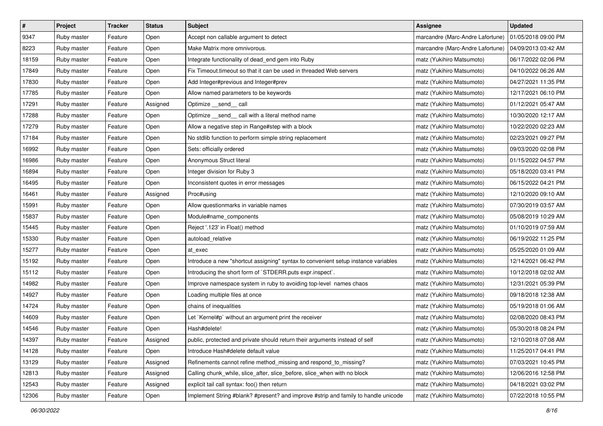| $\vert$ # | Project     | <b>Tracker</b> | <b>Status</b> | Subject                                                                            | <b>Assignee</b>                  | <b>Updated</b>      |
|-----------|-------------|----------------|---------------|------------------------------------------------------------------------------------|----------------------------------|---------------------|
| 9347      | Ruby master | Feature        | Open          | Accept non callable argument to detect                                             | marcandre (Marc-Andre Lafortune) | 01/05/2018 09:00 PM |
| 8223      | Ruby master | Feature        | Open          | Make Matrix more omnivorous.                                                       | marcandre (Marc-Andre Lafortune) | 04/09/2013 03:42 AM |
| 18159     | Ruby master | Feature        | Open          | Integrate functionality of dead_end gem into Ruby                                  | matz (Yukihiro Matsumoto)        | 06/17/2022 02:06 PM |
| 17849     | Ruby master | Feature        | Open          | Fix Timeout timeout so that it can be used in threaded Web servers                 | matz (Yukihiro Matsumoto)        | 04/10/2022 06:26 AM |
| 17830     | Ruby master | Feature        | Open          | Add Integer#previous and Integer#prev                                              | matz (Yukihiro Matsumoto)        | 04/27/2021 11:35 PM |
| 17785     | Ruby master | Feature        | Open          | Allow named parameters to be keywords                                              | matz (Yukihiro Matsumoto)        | 12/17/2021 06:10 PM |
| 17291     | Ruby master | Feature        | Assigned      | Optimize __send__ call                                                             | matz (Yukihiro Matsumoto)        | 01/12/2021 05:47 AM |
| 17288     | Ruby master | Feature        | Open          | Optimize _send_call with a literal method name                                     | matz (Yukihiro Matsumoto)        | 10/30/2020 12:17 AM |
| 17279     | Ruby master | Feature        | Open          | Allow a negative step in Range#step with a block                                   | matz (Yukihiro Matsumoto)        | 10/22/2020 02:23 AM |
| 17184     | Ruby master | Feature        | Open          | No stdlib function to perform simple string replacement                            | matz (Yukihiro Matsumoto)        | 02/23/2021 09:27 PM |
| 16992     | Ruby master | Feature        | Open          | Sets: officially ordered                                                           | matz (Yukihiro Matsumoto)        | 09/03/2020 02:08 PM |
| 16986     | Ruby master | Feature        | Open          | Anonymous Struct literal                                                           | matz (Yukihiro Matsumoto)        | 01/15/2022 04:57 PM |
| 16894     | Ruby master | Feature        | Open          | Integer division for Ruby 3                                                        | matz (Yukihiro Matsumoto)        | 05/18/2020 03:41 PM |
| 16495     | Ruby master | Feature        | Open          | Inconsistent quotes in error messages                                              | matz (Yukihiro Matsumoto)        | 06/15/2022 04:21 PM |
| 16461     | Ruby master | Feature        | Assigned      | Proc#using                                                                         | matz (Yukihiro Matsumoto)        | 12/10/2020 09:10 AM |
| 15991     | Ruby master | Feature        | Open          | Allow questionmarks in variable names                                              | matz (Yukihiro Matsumoto)        | 07/30/2019 03:57 AM |
| 15837     | Ruby master | Feature        | Open          | Module#name_components                                                             | matz (Yukihiro Matsumoto)        | 05/08/2019 10:29 AM |
| 15445     | Ruby master | Feature        | Open          | Reject '.123' in Float() method                                                    | matz (Yukihiro Matsumoto)        | 01/10/2019 07:59 AM |
| 15330     | Ruby master | Feature        | Open          | autoload_relative                                                                  | matz (Yukihiro Matsumoto)        | 06/19/2022 11:25 PM |
| 15277     | Ruby master | Feature        | Open          | at exec                                                                            | matz (Yukihiro Matsumoto)        | 05/25/2020 01:09 AM |
| 15192     | Ruby master | Feature        | Open          | Introduce a new "shortcut assigning" syntax to convenient setup instance variables | matz (Yukihiro Matsumoto)        | 12/14/2021 06:42 PM |
| 15112     | Ruby master | Feature        | Open          | Introducing the short form of `STDERR.puts expr.inspect`.                          | matz (Yukihiro Matsumoto)        | 10/12/2018 02:02 AM |
| 14982     | Ruby master | Feature        | Open          | Improve namespace system in ruby to avoiding top-level names chaos                 | matz (Yukihiro Matsumoto)        | 12/31/2021 05:39 PM |
| 14927     | Ruby master | Feature        | Open          | Loading multiple files at once                                                     | matz (Yukihiro Matsumoto)        | 09/18/2018 12:38 AM |
| 14724     | Ruby master | Feature        | Open          | chains of inequalities                                                             | matz (Yukihiro Matsumoto)        | 05/19/2018 01:06 AM |
| 14609     | Ruby master | Feature        | Open          | Let `Kernel#p` without an argument print the receiver                              | matz (Yukihiro Matsumoto)        | 02/08/2020 08:43 PM |
| 14546     | Ruby master | Feature        | Open          | Hash#delete!                                                                       | matz (Yukihiro Matsumoto)        | 05/30/2018 08:24 PM |
| 14397     | Ruby master | Feature        | Assigned      | public, protected and private should return their arguments instead of self        | matz (Yukihiro Matsumoto)        | 12/10/2018 07:08 AM |
| 14128     | Ruby master | Feature        | Open          | Introduce Hash#delete default value                                                | matz (Yukihiro Matsumoto)        | 11/25/2017 04:41 PM |
| 13129     | Ruby master | Feature        | Assigned      | Refinements cannot refine method_missing and respond_to_missing?                   | matz (Yukihiro Matsumoto)        | 07/03/2021 10:45 PM |
| 12813     | Ruby master | Feature        | Assigned      | Calling chunk_while, slice_after, slice_before, slice_when with no block           | matz (Yukihiro Matsumoto)        | 12/06/2016 12:58 PM |
| 12543     | Ruby master | Feature        | Assigned      | explicit tail call syntax: foo() then return                                       | matz (Yukihiro Matsumoto)        | 04/18/2021 03:02 PM |
| 12306     | Ruby master | Feature        | Open          | Implement String #blank? #present? and improve #strip and family to handle unicode | matz (Yukihiro Matsumoto)        | 07/22/2018 10:55 PM |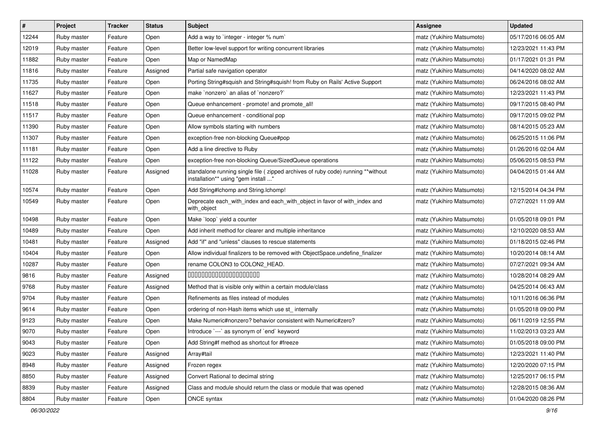| $\vert$ # | Project     | <b>Tracker</b> | <b>Status</b> | <b>Subject</b>                                                                                                          | <b>Assignee</b>           | <b>Updated</b>      |
|-----------|-------------|----------------|---------------|-------------------------------------------------------------------------------------------------------------------------|---------------------------|---------------------|
| 12244     | Ruby master | Feature        | Open          | Add a way to `integer - integer % num`                                                                                  | matz (Yukihiro Matsumoto) | 05/17/2016 06:05 AM |
| 12019     | Ruby master | Feature        | Open          | Better low-level support for writing concurrent libraries                                                               | matz (Yukihiro Matsumoto) | 12/23/2021 11:43 PM |
| 11882     | Ruby master | Feature        | Open          | Map or NamedMap                                                                                                         | matz (Yukihiro Matsumoto) | 01/17/2021 01:31 PM |
| 11816     | Ruby master | Feature        | Assigned      | Partial safe navigation operator                                                                                        | matz (Yukihiro Matsumoto) | 04/14/2020 08:02 AM |
| 11735     | Ruby master | Feature        | Open          | Porting String#squish and String#squish! from Ruby on Rails' Active Support                                             | matz (Yukihiro Matsumoto) | 06/24/2016 08:02 AM |
| 11627     | Ruby master | Feature        | Open          | make `nonzero` an alias of `nonzero?`                                                                                   | matz (Yukihiro Matsumoto) | 12/23/2021 11:43 PM |
| 11518     | Ruby master | Feature        | Open          | Queue enhancement - promote! and promote_all!                                                                           | matz (Yukihiro Matsumoto) | 09/17/2015 08:40 PM |
| 11517     | Ruby master | Feature        | Open          | Queue enhancement - conditional pop                                                                                     | matz (Yukihiro Matsumoto) | 09/17/2015 09:02 PM |
| 11390     | Ruby master | Feature        | Open          | Allow symbols starting with numbers                                                                                     | matz (Yukihiro Matsumoto) | 08/14/2015 05:23 AM |
| 11307     | Ruby master | Feature        | Open          | exception-free non-blocking Queue#pop                                                                                   | matz (Yukihiro Matsumoto) | 06/25/2015 11:06 PM |
| 11181     | Ruby master | Feature        | Open          | Add a line directive to Ruby                                                                                            | matz (Yukihiro Matsumoto) | 01/26/2016 02:04 AM |
| 11122     | Ruby master | Feature        | Open          | exception-free non-blocking Queue/SizedQueue operations                                                                 | matz (Yukihiro Matsumoto) | 05/06/2015 08:53 PM |
| 11028     | Ruby master | Feature        | Assigned      | standalone running single file ( zipped archives of ruby code) running **without<br>installation** using "gem install " | matz (Yukihiro Matsumoto) | 04/04/2015 01:44 AM |
| 10574     | Ruby master | Feature        | Open          | Add String#Ichomp and String.Ichomp!                                                                                    | matz (Yukihiro Matsumoto) | 12/15/2014 04:34 PM |
| 10549     | Ruby master | Feature        | Open          | Deprecate each_with_index and each_with_object in favor of with_index and<br>with_object                                | matz (Yukihiro Matsumoto) | 07/27/2021 11:09 AM |
| 10498     | Ruby master | Feature        | Open          | Make 'loop' yield a counter                                                                                             | matz (Yukihiro Matsumoto) | 01/05/2018 09:01 PM |
| 10489     | Ruby master | Feature        | Open          | Add inherit method for clearer and multiple inheritance                                                                 | matz (Yukihiro Matsumoto) | 12/10/2020 08:53 AM |
| 10481     | Ruby master | Feature        | Assigned      | Add "if" and "unless" clauses to rescue statements                                                                      | matz (Yukihiro Matsumoto) | 01/18/2015 02:46 PM |
| 10404     | Ruby master | Feature        | Open          | Allow individual finalizers to be removed with ObjectSpace.undefine_finalizer                                           | matz (Yukihiro Matsumoto) | 10/20/2014 08:14 AM |
| 10287     | Ruby master | Feature        | Open          | rename COLON3 to COLON2_HEAD.                                                                                           | matz (Yukihiro Matsumoto) | 07/27/2021 09:34 AM |
| 9816      | Ruby master | Feature        | Assigned      | 00000000000000000000                                                                                                    | matz (Yukihiro Matsumoto) | 10/28/2014 08:29 AM |
| 9768      | Ruby master | Feature        | Assigned      | Method that is visible only within a certain module/class                                                               | matz (Yukihiro Matsumoto) | 04/25/2014 06:43 AM |
| 9704      | Ruby master | Feature        | Open          | Refinements as files instead of modules                                                                                 | matz (Yukihiro Matsumoto) | 10/11/2016 06:36 PM |
| 9614      | Ruby master | Feature        | Open          | ordering of non-Hash items which use st_ internally                                                                     | matz (Yukihiro Matsumoto) | 01/05/2018 09:00 PM |
| 9123      | Ruby master | Feature        | Open          | Make Numeric#nonzero? behavior consistent with Numeric#zero?                                                            | matz (Yukihiro Matsumoto) | 06/11/2019 12:55 PM |
| 9070      | Ruby master | Feature        | Open          | Introduce `---` as synonym of `end` keyword                                                                             | matz (Yukihiro Matsumoto) | 11/02/2013 03:23 AM |
| 9043      | Ruby master | Feature        | Open          | Add String#f method as shortcut for #freeze                                                                             | matz (Yukihiro Matsumoto) | 01/05/2018 09:00 PM |
| 9023      | Ruby master | Feature        | Assigned      | Array#tail                                                                                                              | matz (Yukihiro Matsumoto) | 12/23/2021 11:40 PM |
| 8948      | Ruby master | Feature        | Assigned      | Frozen regex                                                                                                            | matz (Yukihiro Matsumoto) | 12/20/2020 07:15 PM |
| 8850      | Ruby master | Feature        | Assigned      | Convert Rational to decimal string                                                                                      | matz (Yukihiro Matsumoto) | 12/25/2017 06:15 PM |
| 8839      | Ruby master | Feature        | Assigned      | Class and module should return the class or module that was opened                                                      | matz (Yukihiro Matsumoto) | 12/28/2015 08:36 AM |
| 8804      | Ruby master | Feature        | Open          | ONCE syntax                                                                                                             | matz (Yukihiro Matsumoto) | 01/04/2020 08:26 PM |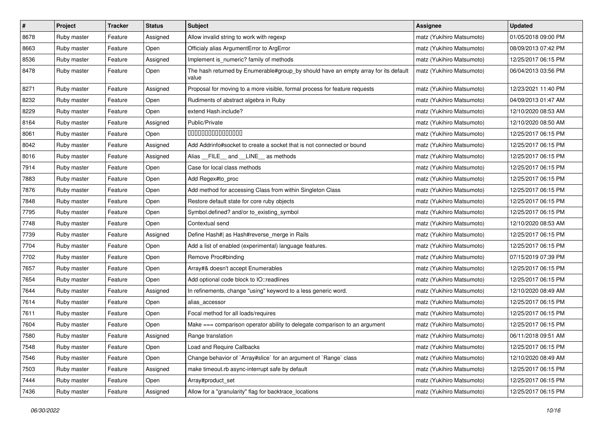| $\pmb{\#}$ | Project     | <b>Tracker</b> | <b>Status</b> | Subject                                                                                      | <b>Assignee</b>           | <b>Updated</b>      |
|------------|-------------|----------------|---------------|----------------------------------------------------------------------------------------------|---------------------------|---------------------|
| 8678       | Ruby master | Feature        | Assigned      | Allow invalid string to work with regexp                                                     | matz (Yukihiro Matsumoto) | 01/05/2018 09:00 PM |
| 8663       | Ruby master | Feature        | Open          | Officialy alias ArgumentError to ArgError                                                    | matz (Yukihiro Matsumoto) | 08/09/2013 07:42 PM |
| 8536       | Ruby master | Feature        | Assigned      | Implement is numeric? family of methods                                                      | matz (Yukihiro Matsumoto) | 12/25/2017 06:15 PM |
| 8478       | Ruby master | Feature        | Open          | The hash returned by Enumerable#group_by should have an empty array for its default<br>value | matz (Yukihiro Matsumoto) | 06/04/2013 03:56 PM |
| 8271       | Ruby master | Feature        | Assigned      | Proposal for moving to a more visible, formal process for feature requests                   | matz (Yukihiro Matsumoto) | 12/23/2021 11:40 PM |
| 8232       | Ruby master | Feature        | Open          | Rudiments of abstract algebra in Ruby                                                        | matz (Yukihiro Matsumoto) | 04/09/2013 01:47 AM |
| 8229       | Ruby master | Feature        | Open          | extend Hash.include?                                                                         | matz (Yukihiro Matsumoto) | 12/10/2020 08:53 AM |
| 8164       | Ruby master | Feature        | Assigned      | Public/Private                                                                               | matz (Yukihiro Matsumoto) | 12/10/2020 08:50 AM |
| 8061       | Ruby master | Feature        | Open          | 000000000000000                                                                              | matz (Yukihiro Matsumoto) | 12/25/2017 06:15 PM |
| 8042       | Ruby master | Feature        | Assigned      | Add Addrinfo#socket to create a socket that is not connected or bound                        | matz (Yukihiro Matsumoto) | 12/25/2017 06:15 PM |
| 8016       | Ruby master | Feature        | Assigned      | Alias __FILE__ and __LINE__ as methods                                                       | matz (Yukihiro Matsumoto) | 12/25/2017 06:15 PM |
| 7914       | Ruby master | Feature        | Open          | Case for local class methods                                                                 | matz (Yukihiro Matsumoto) | 12/25/2017 06:15 PM |
| 7883       | Ruby master | Feature        | Open          | Add Regex#to_proc                                                                            | matz (Yukihiro Matsumoto) | 12/25/2017 06:15 PM |
| 7876       | Ruby master | Feature        | Open          | Add method for accessing Class from within Singleton Class                                   | matz (Yukihiro Matsumoto) | 12/25/2017 06:15 PM |
| 7848       | Ruby master | Feature        | Open          | Restore default state for core ruby objects                                                  | matz (Yukihiro Matsumoto) | 12/25/2017 06:15 PM |
| 7795       | Ruby master | Feature        | Open          | Symbol.defined? and/or to_existing_symbol                                                    | matz (Yukihiro Matsumoto) | 12/25/2017 06:15 PM |
| 7748       | Ruby master | Feature        | Open          | Contextual send                                                                              | matz (Yukihiro Matsumoto) | 12/10/2020 08:53 AM |
| 7739       | Ruby master | Feature        | Assigned      | Define Hash#  as Hash#reverse_merge in Rails                                                 | matz (Yukihiro Matsumoto) | 12/25/2017 06:15 PM |
| 7704       | Ruby master | Feature        | Open          | Add a list of enabled (experimental) language features.                                      | matz (Yukihiro Matsumoto) | 12/25/2017 06:15 PM |
| 7702       | Ruby master | Feature        | Open          | Remove Proc#binding                                                                          | matz (Yukihiro Matsumoto) | 07/15/2019 07:39 PM |
| 7657       | Ruby master | Feature        | Open          | Array#& doesn't accept Enumerables                                                           | matz (Yukihiro Matsumoto) | 12/25/2017 06:15 PM |
| 7654       | Ruby master | Feature        | Open          | Add optional code block to IO::readlines                                                     | matz (Yukihiro Matsumoto) | 12/25/2017 06:15 PM |
| 7644       | Ruby master | Feature        | Assigned      | In refinements, change "using" keyword to a less generic word.                               | matz (Yukihiro Matsumoto) | 12/10/2020 08:49 AM |
| 7614       | Ruby master | Feature        | Open          | alias_accessor                                                                               | matz (Yukihiro Matsumoto) | 12/25/2017 06:15 PM |
| 7611       | Ruby master | Feature        | Open          | Focal method for all loads/requires                                                          | matz (Yukihiro Matsumoto) | 12/25/2017 06:15 PM |
| 7604       | Ruby master | Feature        | Open          | Make === comparison operator ability to delegate comparison to an argument                   | matz (Yukihiro Matsumoto) | 12/25/2017 06:15 PM |
| 7580       | Ruby master | Feature        | Assigned      | Range translation                                                                            | matz (Yukihiro Matsumoto) | 06/11/2018 09:51 AM |
| 7548       | Ruby master | Feature        | Open          | Load and Require Callbacks                                                                   | matz (Yukihiro Matsumoto) | 12/25/2017 06:15 PM |
| 7546       | Ruby master | Feature        | Open          | Change behavior of `Array#slice` for an argument of `Range` class                            | matz (Yukihiro Matsumoto) | 12/10/2020 08:49 AM |
| 7503       | Ruby master | Feature        | Assigned      | make timeout.rb async-interrupt safe by default                                              | matz (Yukihiro Matsumoto) | 12/25/2017 06:15 PM |
| 7444       | Ruby master | Feature        | Open          | Array#product_set                                                                            | matz (Yukihiro Matsumoto) | 12/25/2017 06:15 PM |
| 7436       | Ruby master | Feature        | Assigned      | Allow for a "granularity" flag for backtrace_locations                                       | matz (Yukihiro Matsumoto) | 12/25/2017 06:15 PM |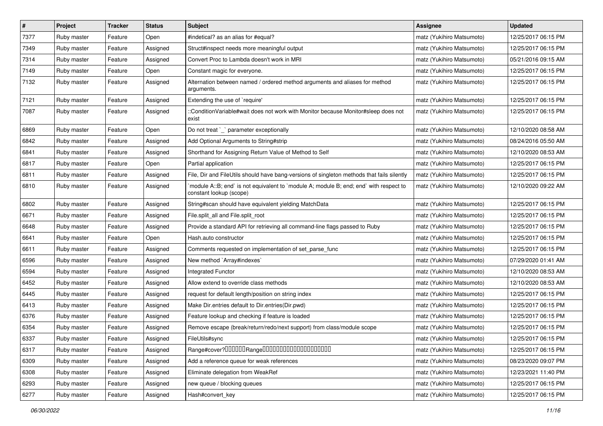| $\pmb{\#}$ | Project     | <b>Tracker</b> | <b>Status</b> | <b>Subject</b>                                                                                                    | <b>Assignee</b>           | <b>Updated</b>      |
|------------|-------------|----------------|---------------|-------------------------------------------------------------------------------------------------------------------|---------------------------|---------------------|
| 7377       | Ruby master | Feature        | Open          | #indetical? as an alias for #equal?                                                                               | matz (Yukihiro Matsumoto) | 12/25/2017 06:15 PM |
| 7349       | Ruby master | Feature        | Assigned      | Struct#inspect needs more meaningful output                                                                       | matz (Yukihiro Matsumoto) | 12/25/2017 06:15 PM |
| 7314       | Ruby master | Feature        | Assigned      | Convert Proc to Lambda doesn't work in MRI                                                                        | matz (Yukihiro Matsumoto) | 05/21/2016 09:15 AM |
| 7149       | Ruby master | Feature        | Open          | Constant magic for everyone.                                                                                      | matz (Yukihiro Matsumoto) | 12/25/2017 06:15 PM |
| 7132       | Ruby master | Feature        | Assigned      | Alternation between named / ordered method arguments and aliases for method<br>arguments.                         | matz (Yukihiro Matsumoto) | 12/25/2017 06:15 PM |
| 7121       | Ruby master | Feature        | Assigned      | Extending the use of `require'                                                                                    | matz (Yukihiro Matsumoto) | 12/25/2017 06:15 PM |
| 7087       | Ruby master | Feature        | Assigned      | ::ConditionVariable#wait does not work with Monitor because Monitor#sleep does not<br>exist                       | matz (Yukihiro Matsumoto) | 12/25/2017 06:15 PM |
| 6869       | Ruby master | Feature        | Open          | Do not treat `_` parameter exceptionally                                                                          | matz (Yukihiro Matsumoto) | 12/10/2020 08:58 AM |
| 6842       | Ruby master | Feature        | Assigned      | Add Optional Arguments to String#strip                                                                            | matz (Yukihiro Matsumoto) | 08/24/2016 05:50 AM |
| 6841       | Ruby master | Feature        | Assigned      | Shorthand for Assigning Return Value of Method to Self                                                            | matz (Yukihiro Matsumoto) | 12/10/2020 08:53 AM |
| 6817       | Ruby master | Feature        | Open          | Partial application                                                                                               | matz (Yukihiro Matsumoto) | 12/25/2017 06:15 PM |
| 6811       | Ruby master | Feature        | Assigned      | File, Dir and FileUtils should have bang-versions of singleton methods that fails silently                        | matz (Yukihiro Matsumoto) | 12/25/2017 06:15 PM |
| 6810       | Ruby master | Feature        | Assigned      | `module A::B; end` is not equivalent to `module A; module B; end; end` with respect to<br>constant lookup (scope) | matz (Yukihiro Matsumoto) | 12/10/2020 09:22 AM |
| 6802       | Ruby master | Feature        | Assigned      | String#scan should have equivalent yielding MatchData                                                             | matz (Yukihiro Matsumoto) | 12/25/2017 06:15 PM |
| 6671       | Ruby master | Feature        | Assigned      | File.split_all and File.split_root                                                                                | matz (Yukihiro Matsumoto) | 12/25/2017 06:15 PM |
| 6648       | Ruby master | Feature        | Assigned      | Provide a standard API for retrieving all command-line flags passed to Ruby                                       | matz (Yukihiro Matsumoto) | 12/25/2017 06:15 PM |
| 6641       | Ruby master | Feature        | Open          | Hash.auto constructor                                                                                             | matz (Yukihiro Matsumoto) | 12/25/2017 06:15 PM |
| 6611       | Ruby master | Feature        | Assigned      | Comments requested on implementation of set_parse_func                                                            | matz (Yukihiro Matsumoto) | 12/25/2017 06:15 PM |
| 6596       | Ruby master | Feature        | Assigned      | New method `Array#indexes`                                                                                        | matz (Yukihiro Matsumoto) | 07/29/2020 01:41 AM |
| 6594       | Ruby master | Feature        | Assigned      | <b>Integrated Functor</b>                                                                                         | matz (Yukihiro Matsumoto) | 12/10/2020 08:53 AM |
| 6452       | Ruby master | Feature        | Assigned      | Allow extend to override class methods                                                                            | matz (Yukihiro Matsumoto) | 12/10/2020 08:53 AM |
| 6445       | Ruby master | Feature        | Assigned      | request for default length/position on string index                                                               | matz (Yukihiro Matsumoto) | 12/25/2017 06:15 PM |
| 6413       | Ruby master | Feature        | Assigned      | Make Dir.entries default to Dir.entries(Dir.pwd)                                                                  | matz (Yukihiro Matsumoto) | 12/25/2017 06:15 PM |
| 6376       | Ruby master | Feature        | Assigned      | Feature lookup and checking if feature is loaded                                                                  | matz (Yukihiro Matsumoto) | 12/25/2017 06:15 PM |
| 6354       | Ruby master | Feature        | Assigned      | Remove escape (break/return/redo/next support) from class/module scope                                            | matz (Yukihiro Matsumoto) | 12/25/2017 06:15 PM |
| 6337       | Ruby master | Feature        | Assigned      | FileUtils#sync                                                                                                    | matz (Yukihiro Matsumoto) | 12/25/2017 06:15 PM |
| 6317       | Ruby master | Feature        | Assigned      |                                                                                                                   | matz (Yukihiro Matsumoto) | 12/25/2017 06:15 PM |
| 6309       | Ruby master | Feature        | Assigned      | Add a reference queue for weak references                                                                         | matz (Yukihiro Matsumoto) | 08/23/2020 09:07 PM |
| 6308       | Ruby master | Feature        | Assigned      | Eliminate delegation from WeakRef                                                                                 | matz (Yukihiro Matsumoto) | 12/23/2021 11:40 PM |
| 6293       | Ruby master | Feature        | Assigned      | new queue / blocking queues                                                                                       | matz (Yukihiro Matsumoto) | 12/25/2017 06:15 PM |
| 6277       | Ruby master | Feature        | Assigned      | Hash#convert_key                                                                                                  | matz (Yukihiro Matsumoto) | 12/25/2017 06:15 PM |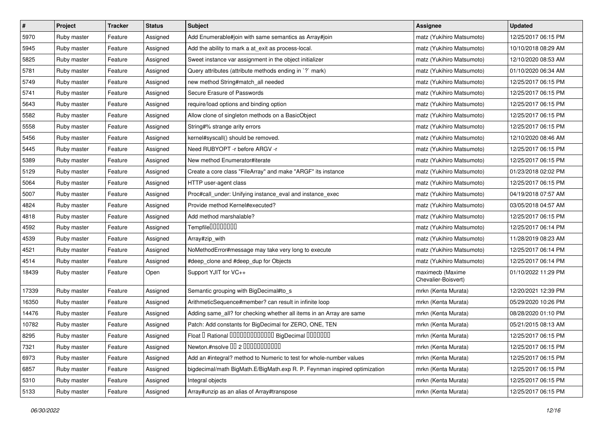| $\vert$ # | Project     | <b>Tracker</b> | <b>Status</b> | Subject                                                                   | <b>Assignee</b>                         | <b>Updated</b>      |
|-----------|-------------|----------------|---------------|---------------------------------------------------------------------------|-----------------------------------------|---------------------|
| 5970      | Ruby master | Feature        | Assigned      | Add Enumerable#join with same semantics as Array#join                     | matz (Yukihiro Matsumoto)               | 12/25/2017 06:15 PM |
| 5945      | Ruby master | Feature        | Assigned      | Add the ability to mark a at_exit as process-local.                       | matz (Yukihiro Matsumoto)               | 10/10/2018 08:29 AM |
| 5825      | Ruby master | Feature        | Assigned      | Sweet instance var assignment in the object initializer                   | matz (Yukihiro Matsumoto)               | 12/10/2020 08:53 AM |
| 5781      | Ruby master | Feature        | Assigned      | Query attributes (attribute methods ending in `?` mark)                   | matz (Yukihiro Matsumoto)               | 01/10/2020 06:34 AM |
| 5749      | Ruby master | Feature        | Assigned      | new method String#match_all needed                                        | matz (Yukihiro Matsumoto)               | 12/25/2017 06:15 PM |
| 5741      | Ruby master | Feature        | Assigned      | Secure Erasure of Passwords                                               | matz (Yukihiro Matsumoto)               | 12/25/2017 06:15 PM |
| 5643      | Ruby master | Feature        | Assigned      | require/load options and binding option                                   | matz (Yukihiro Matsumoto)               | 12/25/2017 06:15 PM |
| 5582      | Ruby master | Feature        | Assigned      | Allow clone of singleton methods on a BasicObject                         | matz (Yukihiro Matsumoto)               | 12/25/2017 06:15 PM |
| 5558      | Ruby master | Feature        | Assigned      | String#% strange arity errors                                             | matz (Yukihiro Matsumoto)               | 12/25/2017 06:15 PM |
| 5456      | Ruby master | Feature        | Assigned      | kernel#syscall() should be removed.                                       | matz (Yukihiro Matsumoto)               | 12/10/2020 08:46 AM |
| 5445      | Ruby master | Feature        | Assigned      | Need RUBYOPT -r before ARGV -r                                            | matz (Yukihiro Matsumoto)               | 12/25/2017 06:15 PM |
| 5389      | Ruby master | Feature        | Assigned      | New method Enumerator#iterate                                             | matz (Yukihiro Matsumoto)               | 12/25/2017 06:15 PM |
| 5129      | Ruby master | Feature        | Assigned      | Create a core class "FileArray" and make "ARGF" its instance              | matz (Yukihiro Matsumoto)               | 01/23/2018 02:02 PM |
| 5064      | Ruby master | Feature        | Assigned      | HTTP user-agent class                                                     | matz (Yukihiro Matsumoto)               | 12/25/2017 06:15 PM |
| 5007      | Ruby master | Feature        | Assigned      | Proc#call_under: Unifying instance_eval and instance_exec                 | matz (Yukihiro Matsumoto)               | 04/19/2018 07:57 AM |
| 4824      | Ruby master | Feature        | Assigned      | Provide method Kernel#executed?                                           | matz (Yukihiro Matsumoto)               | 03/05/2018 04:57 AM |
| 4818      | Ruby master | Feature        | Assigned      | Add method marshalable?                                                   | matz (Yukihiro Matsumoto)               | 12/25/2017 06:15 PM |
| 4592      | Ruby master | Feature        | Assigned      | Tempfile0000000                                                           | matz (Yukihiro Matsumoto)               | 12/25/2017 06:14 PM |
| 4539      | Ruby master | Feature        | Assigned      | Array#zip_with                                                            | matz (Yukihiro Matsumoto)               | 11/28/2019 08:23 AM |
| 4521      | Ruby master | Feature        | Assigned      | NoMethodError#message may take very long to execute                       | matz (Yukihiro Matsumoto)               | 12/25/2017 06:14 PM |
| 4514      | Ruby master | Feature        | Assigned      | #deep_clone and #deep_dup for Objects                                     | matz (Yukihiro Matsumoto)               | 12/25/2017 06:14 PM |
| 18439     | Ruby master | Feature        | Open          | Support YJIT for VC++                                                     | maximecb (Maxime<br>Chevalier-Boisvert) | 01/10/2022 11:29 PM |
| 17339     | Ruby master | Feature        | Assigned      | Semantic grouping with BigDecimal#to_s                                    | mrkn (Kenta Murata)                     | 12/20/2021 12:39 PM |
| 16350     | Ruby master | Feature        | Assigned      | ArithmeticSequence#member? can result in infinite loop                    | mrkn (Kenta Murata)                     | 05/29/2020 10:26 PM |
| 14476     | Ruby master | Feature        | Assigned      | Adding same_all? for checking whether all items in an Array are same      | mrkn (Kenta Murata)                     | 08/28/2020 01:10 PM |
| 10782     | Ruby master | Feature        | Assigned      | Patch: Add constants for BigDecimal for ZERO, ONE, TEN                    | mrkn (Kenta Murata)                     | 05/21/2015 08:13 AM |
| 8295      | Ruby master | Feature        | Assigned      | Float I Rational 0000000000000 BigDecimal 0000000                         | mrkn (Kenta Murata)                     | 12/25/2017 06:15 PM |
| 7321      | Ruby master | Feature        | Assigned      | Newton.#nsolve 00 2 0000000000                                            | mrkn (Kenta Murata)                     | 12/25/2017 06:15 PM |
| 6973      | Ruby master | Feature        | Assigned      | Add an #integral? method to Numeric to test for whole-number values       | mrkn (Kenta Murata)                     | 12/25/2017 06:15 PM |
| 6857      | Ruby master | Feature        | Assigned      | bigdecimal/math BigMath.E/BigMath.exp R. P. Feynman inspired optimization | mrkn (Kenta Murata)                     | 12/25/2017 06:15 PM |
| 5310      | Ruby master | Feature        | Assigned      | Integral objects                                                          | mrkn (Kenta Murata)                     | 12/25/2017 06:15 PM |
| 5133      | Ruby master | Feature        | Assigned      | Array#unzip as an alias of Array#transpose                                | mrkn (Kenta Murata)                     | 12/25/2017 06:15 PM |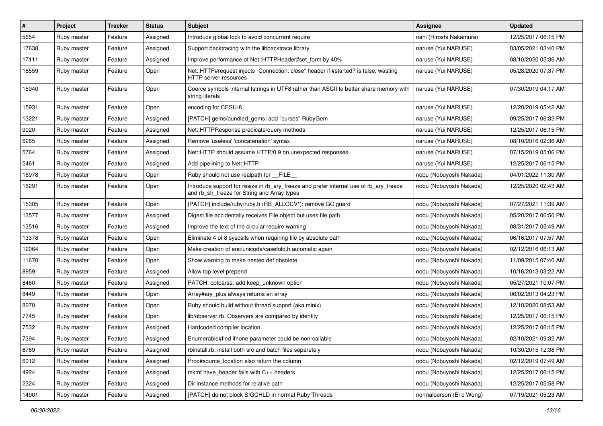| $\vert$ # | Project     | <b>Tracker</b> | <b>Status</b> | <b>Subject</b>                                                                                                                         | <b>Assignee</b>          | <b>Updated</b>      |
|-----------|-------------|----------------|---------------|----------------------------------------------------------------------------------------------------------------------------------------|--------------------------|---------------------|
| 5654      | Ruby master | Feature        | Assigned      | Introduce global lock to avoid concurrent require                                                                                      | nahi (Hiroshi Nakamura)  | 12/25/2017 06:15 PM |
| 17638     | Ruby master | Feature        | Assigned      | Support backtracing with the libbacktrace library                                                                                      | naruse (Yui NARUSE)      | 03/05/2021 03:40 PM |
| 17111     | Ruby master | Feature        | Assigned      | Improve performance of Net::HTTPHeader#set_form by 40%                                                                                 | naruse (Yui NARUSE)      | 08/10/2020 05:36 AM |
| 16559     | Ruby master | Feature        | Open          | Net::HTTP#request injects "Connection: close" header if #started? is false, wasting<br>HTTP server resources                           | naruse (Yui NARUSE)      | 05/28/2020 07:37 PM |
| 15940     | Ruby master | Feature        | Open          | Coerce symbols internal fstrings in UTF8 rather than ASCII to better share memory with<br>string literals                              | naruse (Yui NARUSE)      | 07/30/2019 04:17 AM |
| 15931     | Ruby master | Feature        | Open          | encoding for CESU-8                                                                                                                    | naruse (Yui NARUSE)      | 12/20/2019 05:42 AM |
| 13221     | Ruby master | Feature        | Assigned      | [PATCH] gems/bundled gems: add "curses" RubyGem                                                                                        | naruse (Yui NARUSE)      | 09/25/2017 06:32 PM |
| 9020      | Ruby master | Feature        | Assigned      | Net::HTTPResponse predicate/query methods                                                                                              | naruse (Yui NARUSE)      | 12/25/2017 06:15 PM |
| 6265      | Ruby master | Feature        | Assigned      | Remove 'useless' 'concatenation' syntax                                                                                                | naruse (Yui NARUSE)      | 08/10/2016 02:36 AM |
| 5764      | Ruby master | Feature        | Assigned      | Net::HTTP should assume HTTP/0.9 on unexpected responses                                                                               | naruse (Yui NARUSE)      | 07/15/2019 05:06 PM |
| 5461      | Ruby master | Feature        | Assigned      | Add pipelining to Net::HTTP                                                                                                            | naruse (Yui NARUSE)      | 12/25/2017 06:15 PM |
| 16978     | Ruby master | Feature        | Open          | Ruby should not use realpath for FILE                                                                                                  | nobu (Nobuyoshi Nakada)  | 04/01/2022 11:30 AM |
| 16291     | Ruby master | Feature        | Open          | Introduce support for resize in rb_ary_freeze and prefer internal use of rb_ary_freeze<br>and rb_str_freeze for String and Array types | nobu (Nobuyoshi Nakada)  | 12/25/2020 02:43 AM |
| 15305     | Ruby master | Feature        | Open          | [PATCH] include/ruby/ruby.h (RB_ALLOCV*): remove GC guard                                                                              | nobu (Nobuyoshi Nakada)  | 07/27/2021 11:39 AM |
| 13577     | Ruby master | Feature        | Assigned      | Digest file accidentally receives File object but uses file path                                                                       | nobu (Nobuyoshi Nakada)  | 05/20/2017 06:50 PM |
| 13516     | Ruby master | Feature        | Assigned      | Improve the text of the circular require warning                                                                                       | nobu (Nobuyoshi Nakada)  | 08/31/2017 05:49 AM |
| 13378     | Ruby master | Feature        | Open          | Eliminate 4 of 8 syscalls when requiring file by absolute path                                                                         | nobu (Nobuyoshi Nakada)  | 06/16/2017 07:57 AM |
| 12064     | Ruby master | Feature        | Open          | Make creation of enc/unicode/casefold.h automatic again                                                                                | nobu (Nobuyoshi Nakada)  | 02/12/2016 06:13 AM |
| 11670     | Ruby master | Feature        | Open          | Show warning to make nested def obsolete                                                                                               | nobu (Nobuyoshi Nakada)  | 11/09/2015 07:40 AM |
| 8959      | Ruby master | Feature        | Assigned      | Allow top level prepend                                                                                                                | nobu (Nobuyoshi Nakada)  | 10/16/2013 03:22 AM |
| 8460      | Ruby master | Feature        | Assigned      | PATCH: optparse: add keep_unknown option                                                                                               | nobu (Nobuyoshi Nakada)  | 05/27/2021 10:07 PM |
| 8449      | Ruby master | Feature        | Open          | Array#ary_plus always returns an array                                                                                                 | nobu (Nobuyoshi Nakada)  | 06/02/2013 04:23 PM |
| 8270      | Ruby master | Feature        | Open          | Ruby should build without thread support (aka minix)                                                                                   | nobu (Nobuyoshi Nakada)  | 12/10/2020 08:53 AM |
| 7745      | Ruby master | Feature        | Open          | lib/observer.rb: Observers are compared by identity                                                                                    | nobu (Nobuyoshi Nakada)  | 12/25/2017 06:15 PM |
| 7532      | Ruby master | Feature        | Assigned      | Hardcoded compiler location                                                                                                            | nobu (Nobuyoshi Nakada)  | 12/25/2017 06:15 PM |
| 7394      | Ruby master | Feature        | Assigned      | Enumerable#find ifnone parameter could be non-callable                                                                                 | nobu (Nobuyoshi Nakada)  | 02/10/2021 09:32 AM |
| 6769      | Ruby master | Feature        | Assigned      | rbinstall.rb: install both src and batch files separetely                                                                              | nobu (Nobuyoshi Nakada)  | 10/30/2015 12:38 PM |
| 6012      | Ruby master | Feature        | Assigned      | Proc#source_location also return the column                                                                                            | nobu (Nobuyoshi Nakada)  | 02/12/2019 07:49 AM |
| 4924      | Ruby master | Feature        | Assigned      | mkmf have_header fails with C++ headers                                                                                                | nobu (Nobuyoshi Nakada)  | 12/25/2017 06:15 PM |
| 2324      | Ruby master | Feature        | Assigned      | Dir instance methods for relative path                                                                                                 | nobu (Nobuyoshi Nakada)  | 12/25/2017 05:58 PM |
| 14901     | Ruby master | Feature        | Assigned      | [PATCH] do not block SIGCHLD in normal Ruby Threads                                                                                    | normalperson (Eric Wong) | 07/19/2021 05:23 AM |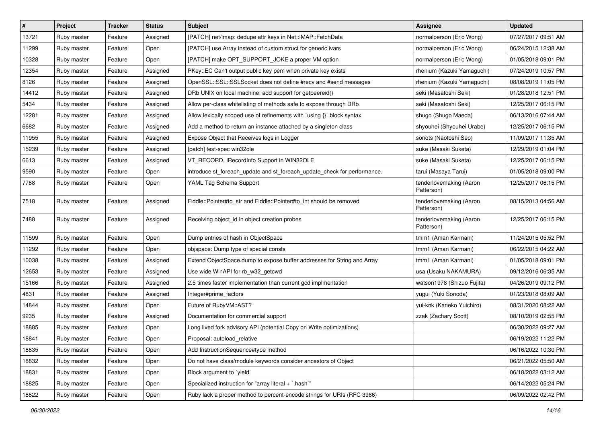| $\vert$ # | Project     | <b>Tracker</b> | <b>Status</b> | <b>Subject</b>                                                           | <b>Assignee</b>                       | <b>Updated</b>      |
|-----------|-------------|----------------|---------------|--------------------------------------------------------------------------|---------------------------------------|---------------------|
| 13721     | Ruby master | Feature        | Assigned      | [PATCH] net/imap: dedupe attr keys in Net::IMAP::FetchData               | normalperson (Eric Wong)              | 07/27/2017 09:51 AM |
| 11299     | Ruby master | Feature        | Open          | [PATCH] use Array instead of custom struct for generic ivars             | normalperson (Eric Wong)              | 06/24/2015 12:38 AM |
| 10328     | Ruby master | Feature        | Open          | [PATCH] make OPT SUPPORT JOKE a proper VM option                         | normalperson (Eric Wong)              | 01/05/2018 09:01 PM |
| 12354     | Ruby master | Feature        | Assigned      | PKey::EC Can't output public key pem when private key exists             | rhenium (Kazuki Yamaguchi)            | 07/24/2019 10:57 PM |
| 8126      | Ruby master | Feature        | Assigned      | OpenSSL::SSL::SSLSocket does not define #recv and #send messages         | rhenium (Kazuki Yamaguchi)            | 08/08/2019 11:05 PM |
| 14412     | Ruby master | Feature        | Assigned      | DRb UNIX on local machine: add support for getpeereid()                  | seki (Masatoshi Seki)                 | 01/28/2018 12:51 PM |
| 5434      | Ruby master | Feature        | Assigned      | Allow per-class whitelisting of methods safe to expose through DRb       | seki (Masatoshi Seki)                 | 12/25/2017 06:15 PM |
| 12281     | Ruby master | Feature        | Assigned      | Allow lexically scoped use of refinements with `using {}` block syntax   | shugo (Shugo Maeda)                   | 06/13/2016 07:44 AM |
| 6682      | Ruby master | Feature        | Assigned      | Add a method to return an instance attached by a singleton class         | shyouhei (Shyouhei Urabe)             | 12/25/2017 06:15 PM |
| 11955     | Ruby master | Feature        | Assigned      | Expose Object that Receives logs in Logger                               | sonots (Naotoshi Seo)                 | 11/09/2017 11:35 AM |
| 15239     | Ruby master | Feature        | Assigned      | [patch] test-spec win32ole                                               | suke (Masaki Suketa)                  | 12/29/2019 01:04 PM |
| 6613      | Ruby master | Feature        | Assigned      | VT_RECORD, IRecordInfo Support in WIN32OLE                               | suke (Masaki Suketa)                  | 12/25/2017 06:15 PM |
| 9590      | Ruby master | Feature        | Open          | introduce st_foreach_update and st_foreach_update_check for performance. | tarui (Masaya Tarui)                  | 01/05/2018 09:00 PM |
| 7788      | Ruby master | Feature        | Open          | YAML Tag Schema Support                                                  | tenderlovemaking (Aaron<br>Patterson) | 12/25/2017 06:15 PM |
| 7518      | Ruby master | Feature        | Assigned      | Fiddle::Pointer#to_str and Fiddle::Pointer#to_int should be removed      | tenderlovemaking (Aaron<br>Patterson) | 08/15/2013 04:56 AM |
| 7488      | Ruby master | Feature        | Assigned      | Receiving object_id in object creation probes                            | tenderlovemaking (Aaron<br>Patterson) | 12/25/2017 06:15 PM |
| 11599     | Ruby master | Feature        | Open          | Dump entries of hash in ObjectSpace                                      | tmm1 (Aman Karmani)                   | 11/24/2015 05:52 PM |
| 11292     | Ruby master | Feature        | Open          | objspace: Dump type of special consts                                    | tmm1 (Aman Karmani)                   | 06/22/2015 04:22 AM |
| 10038     | Ruby master | Feature        | Assigned      | Extend ObjectSpace.dump to expose buffer addresses for String and Array  | tmm1 (Aman Karmani)                   | 01/05/2018 09:01 PM |
| 12653     | Ruby master | Feature        | Assigned      | Use wide WinAPI for rb_w32_getcwd                                        | usa (Usaku NAKAMURA)                  | 09/12/2016 06:35 AM |
| 15166     | Ruby master | Feature        | Assigned      | 2.5 times faster implementation than current gcd implmentation           | watson1978 (Shizuo Fujita)            | 04/26/2019 09:12 PM |
| 4831      | Ruby master | Feature        | Assigned      | Integer#prime_factors                                                    | yugui (Yuki Sonoda)                   | 01/23/2018 08:09 AM |
| 14844     | Ruby master | Feature        | Open          | Future of RubyVM::AST?                                                   | yui-knk (Kaneko Yuichiro)             | 08/31/2020 08:22 AM |
| 9235      | Ruby master | Feature        | Assigned      | Documentation for commercial support                                     | zzak (Zachary Scott)                  | 08/10/2019 02:55 PM |
| 18885     | Ruby master | Feature        | Open          | Long lived fork advisory API (potential Copy on Write optimizations)     |                                       | 06/30/2022 09:27 AM |
| 18841     | Ruby master | Feature        | Open          | Proposal: autoload_relative                                              |                                       | 06/19/2022 11:22 PM |
| 18835     | Ruby master | Feature        | Open          | Add InstructionSequence#type method                                      |                                       | 06/16/2022 10:30 PM |
| 18832     | Ruby master | Feature        | Open          | Do not have class/module keywords consider ancestors of Object           |                                       | 06/21/2022 05:50 AM |
| 18831     | Ruby master | Feature        | Open          | Block argument to `yield`                                                |                                       | 06/18/2022 03:12 AM |
| 18825     | Ruby master | Feature        | Open          | Specialized instruction for "array literal + `.hash`"                    |                                       | 06/14/2022 05:24 PM |
| 18822     | Ruby master | Feature        | Open          | Ruby lack a proper method to percent-encode strings for URIs (RFC 3986)  |                                       | 06/09/2022 02:42 PM |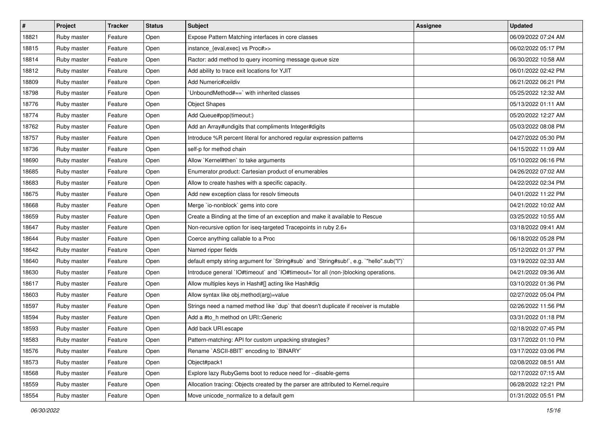| $\pmb{\#}$ | Project     | <b>Tracker</b> | <b>Status</b> | Subject                                                                                   | <b>Assignee</b> | <b>Updated</b>      |
|------------|-------------|----------------|---------------|-------------------------------------------------------------------------------------------|-----------------|---------------------|
| 18821      | Ruby master | Feature        | Open          | Expose Pattern Matching interfaces in core classes                                        |                 | 06/09/2022 07:24 AM |
| 18815      | Ruby master | Feature        | Open          | instance_{eval,exec} vs Proc#>>                                                           |                 | 06/02/2022 05:17 PM |
| 18814      | Ruby master | Feature        | Open          | Ractor: add method to query incoming message queue size                                   |                 | 06/30/2022 10:58 AM |
| 18812      | Ruby master | Feature        | Open          | Add ability to trace exit locations for YJIT                                              |                 | 06/01/2022 02:42 PM |
| 18809      | Ruby master | Feature        | Open          | Add Numeric#ceildiv                                                                       |                 | 06/21/2022 06:21 PM |
| 18798      | Ruby master | Feature        | Open          | 'UnboundMethod#==' with inherited classes                                                 |                 | 05/25/2022 12:32 AM |
| 18776      | Ruby master | Feature        | Open          | <b>Object Shapes</b>                                                                      |                 | 05/13/2022 01:11 AM |
| 18774      | Ruby master | Feature        | Open          | Add Queue#pop(timeout:)                                                                   |                 | 05/20/2022 12:27 AM |
| 18762      | Ruby master | Feature        | Open          | Add an Array#undigits that compliments Integer#digits                                     |                 | 05/03/2022 08:08 PM |
| 18757      | Ruby master | Feature        | Open          | Introduce %R percent literal for anchored regular expression patterns                     |                 | 04/27/2022 05:30 PM |
| 18736      | Ruby master | Feature        | Open          | self-p for method chain                                                                   |                 | 04/15/2022 11:09 AM |
| 18690      | Ruby master | Feature        | Open          | Allow `Kernel#then` to take arguments                                                     |                 | 05/10/2022 06:16 PM |
| 18685      | Ruby master | Feature        | Open          | Enumerator.product: Cartesian product of enumerables                                      |                 | 04/26/2022 07:02 AM |
| 18683      | Ruby master | Feature        | Open          | Allow to create hashes with a specific capacity.                                          |                 | 04/22/2022 02:34 PM |
| 18675      | Ruby master | Feature        | Open          | Add new exception class for resolv timeouts                                               |                 | 04/01/2022 11:22 PM |
| 18668      | Ruby master | Feature        | Open          | Merge `io-nonblock` gems into core                                                        |                 | 04/21/2022 10:02 AM |
| 18659      | Ruby master | Feature        | Open          | Create a Binding at the time of an exception and make it available to Rescue              |                 | 03/25/2022 10:55 AM |
| 18647      | Ruby master | Feature        | Open          | Non-recursive option for iseq-targeted Tracepoints in ruby 2.6+                           |                 | 03/18/2022 09:41 AM |
| 18644      | Ruby master | Feature        | Open          | Coerce anything callable to a Proc                                                        |                 | 06/18/2022 05:28 PM |
| 18642      | Ruby master | Feature        | Open          | Named ripper fields                                                                       |                 | 05/12/2022 01:37 PM |
| 18640      | Ruby master | Feature        | Open          | default empty string argument for `String#sub` and `String#sub!`, e.g. `"hello".sub("I")` |                 | 03/19/2022 02:33 AM |
| 18630      | Ruby master | Feature        | Open          | Introduce general `IO#timeout` and `IO#timeout=`for all (non-)blocking operations.        |                 | 04/21/2022 09:36 AM |
| 18617      | Ruby master | Feature        | Open          | Allow multiples keys in Hash#[] acting like Hash#dig                                      |                 | 03/10/2022 01:36 PM |
| 18603      | Ruby master | Feature        | Open          | Allow syntax like obj.method(arg)=value                                                   |                 | 02/27/2022 05:04 PM |
| 18597      | Ruby master | Feature        | Open          | Strings need a named method like `dup` that doesn't duplicate if receiver is mutable      |                 | 02/26/2022 11:56 PM |
| 18594      | Ruby master | Feature        | Open          | Add a #to_h method on URI::Generic                                                        |                 | 03/31/2022 01:18 PM |
| 18593      | Ruby master | Feature        | Open          | Add back URI.escape                                                                       |                 | 02/18/2022 07:45 PM |
| 18583      | Ruby master | Feature        | Open          | Pattern-matching: API for custom unpacking strategies?                                    |                 | 03/17/2022 01:10 PM |
| 18576      | Ruby master | Feature        | Open          | Rename `ASCII-8BIT` encoding to `BINARY`                                                  |                 | 03/17/2022 03:06 PM |
| 18573      | Ruby master | Feature        | Open          | Object#pack1                                                                              |                 | 02/08/2022 08:51 AM |
| 18568      | Ruby master | Feature        | Open          | Explore lazy RubyGems boot to reduce need for --disable-gems                              |                 | 02/17/2022 07:15 AM |
| 18559      | Ruby master | Feature        | Open          | Allocation tracing: Objects created by the parser are attributed to Kernel.require        |                 | 06/28/2022 12:21 PM |
| 18554      | Ruby master | Feature        | Open          | Move unicode_normalize to a default gem                                                   |                 | 01/31/2022 05:51 PM |